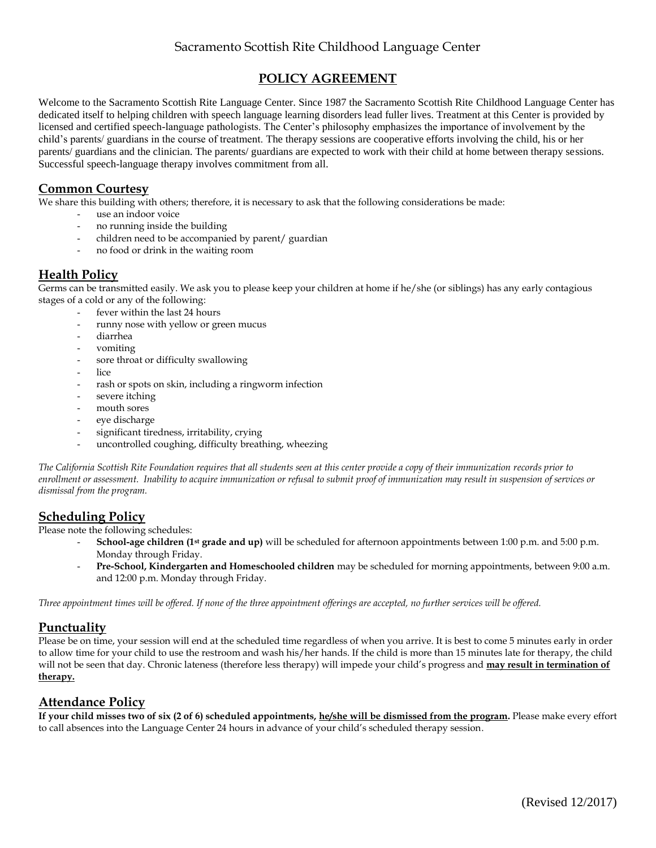# Sacramento Scottish Rite Childhood Language Center

## **POLICY AGREEMENT**

Welcome to the Sacramento Scottish Rite Language Center. Since 1987 the Sacramento Scottish Rite Childhood Language Center has dedicated itself to helping children with speech language learning disorders lead fuller lives. Treatment at this Center is provided by licensed and certified speech-language pathologists. The Center's philosophy emphasizes the importance of involvement by the child's parents/ guardians in the course of treatment. The therapy sessions are cooperative efforts involving the child, his or her parents/ guardians and the clinician. The parents/ guardians are expected to work with their child at home between therapy sessions. Successful speech-language therapy involves commitment from all.

### **Common Courtesy**

We share this building with others; therefore, it is necessary to ask that the following considerations be made:

- use an indoor voice
- no running inside the building
- children need to be accompanied by parent/ guardian
- no food or drink in the waiting room

## **Health Policy**

Germs can be transmitted easily. We ask you to please keep your children at home if he/she (or siblings) has any early contagious stages of a cold or any of the following:

- fever within the last 24 hours
	- runny nose with yellow or green mucus
	- diarrhea
	- vomiting
	- sore throat or difficulty swallowing
	- lice
	- rash or spots on skin, including a ringworm infection
	- severe itching
	- mouth sores
	- eye discharge
	- significant tiredness, irritability, crying
	- uncontrolled coughing, difficulty breathing, wheezing

*The California Scottish Rite Foundation requires that all students seen at this center provide a copy of their immunization records prior to enrollment or assessment. Inability to acquire immunization or refusal to submit proof of immunization may result in suspension of services or dismissal from the program.*

#### **Scheduling Policy**

Please note the following schedules:

- **School-age children (1st grade and up)** will be scheduled for afternoon appointments between 1:00 p.m. and 5:00 p.m. Monday through Friday.
	- **Pre-School, Kindergarten and Homeschooled children** may be scheduled for morning appointments, between 9:00 a.m. and 12:00 p.m. Monday through Friday.

*Three appointment times will be offered. If none of the three appointment offerings are accepted, no further services will be offered.* 

## **Punctuality**

Please be on time, your session will end at the scheduled time regardless of when you arrive. It is best to come 5 minutes early in order to allow time for your child to use the restroom and wash his/her hands. If the child is more than 15 minutes late for therapy, the child will not be seen that day. Chronic lateness (therefore less therapy) will impede your child's progress and **may result in termination of therapy.** 

## **Attendance Policy**

**If your child misses two of six (2 of 6) scheduled appointments, he/she will be dismissed from the program**. Please make every effort to call absences into the Language Center 24 hours in advance of your child's scheduled therapy session.